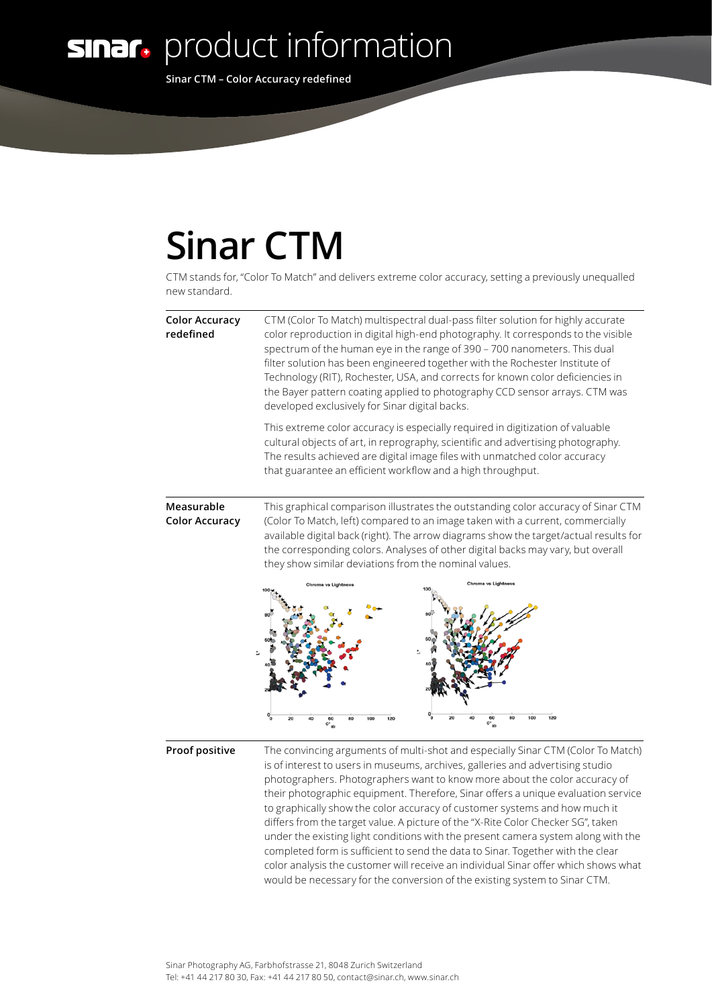**sinar.** product information

**Sinar CTM – Color Accuracy redefined**

## **Sinar CTM**

CTM stands for, "Color To Match" and delivers extreme color accuracy, setting a previously unequalled new standard.

| <b>Color Accuracy</b><br>redefined  | CTM (Color To Match) multispectral dual-pass filter solution for highly accurate<br>color reproduction in digital high-end photography. It corresponds to the visible<br>spectrum of the human eye in the range of 390 - 700 nanometers. This dual<br>filter solution has been engineered together with the Rochester Institute of<br>Technology (RIT), Rochester, USA, and corrects for known color deficiencies in<br>the Bayer pattern coating applied to photography CCD sensor arrays. CTM was<br>developed exclusively for Sinar digital backs. |
|-------------------------------------|-------------------------------------------------------------------------------------------------------------------------------------------------------------------------------------------------------------------------------------------------------------------------------------------------------------------------------------------------------------------------------------------------------------------------------------------------------------------------------------------------------------------------------------------------------|
|                                     | This extreme color accuracy is especially required in digitization of valuable<br>cultural objects of art, in reprography, scientific and advertising photography.<br>The results achieved are digital image files with unmatched color accuracy<br>that guarantee an efficient workflow and a high throughput.                                                                                                                                                                                                                                       |
| Measurable<br><b>Color Accuracy</b> | This graphical comparison illustrates the outstanding color accuracy of Sinar CTM<br>(Color To Match, left) compared to an image taken with a current, commercially<br>available digital back (right). The arrow diagrams show the target/actual results for<br>the corresponding colors. Analyses of other digital backs may vary, but overall<br>they show similar deviations from the nominal values.<br>Chroma vs Lightnes                                                                                                                        |
| Proof positive                      | The convincing arguments of multi-shot and especially Sinar CTM (Color To Match)<br>is of interest to users in museums, archives, galleries and advertising studio<br>photographers. Photographers want to know more about the color accuracy of<br>their photographic equipment. Therefore, Sinar offers a unique evaluation service<br>to graphically show the color accuracy of customer systems and how much it<br>differs from the target value. A picture of the "X-Rite Color Checker SG", taken                                               |

under the existing light conditions with the present camera system along with the completed form is sufficient to send the data to Sinar. Together with the clear color analysis the customer will receive an individual Sinar offer which shows what would be necessary for the conversion of the existing system to Sinar CTM.